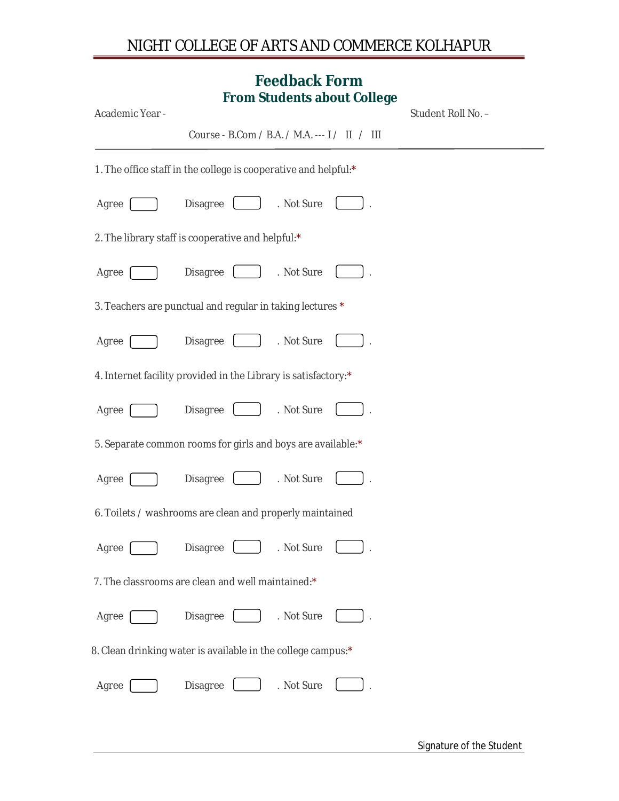## NIGHT COLLEGE OF ARTS AND COMMERCE KOLHAPUR

## **Feedback Form From Students about College**

| Academic Year - | FI UIII SUUUBIIIS ADUUL CUIIBYB                                 | Student Roll No. - |
|-----------------|-----------------------------------------------------------------|--------------------|
|                 | Course - B.Com / B.A. / M.A. --- I / II / III                   |                    |
|                 | 1. The office staff in the college is cooperative and helpful:* |                    |
| Agree           | Disagree<br>. Not Sure                                          |                    |
|                 | 2. The library staff is cooperative and helpful:*               |                    |
| Agree           | Disagree<br>. Not Sure                                          |                    |
|                 | 3. Teachers are punctual and regular in taking lectures *       |                    |
| Agree           | Disagree<br>. Not Sure                                          |                    |
|                 | 4. Internet facility provided in the Library is satisfactory:*  |                    |
| Agree           | Disagree<br>. Not Sure                                          |                    |
|                 | 5. Separate common rooms for girls and boys are available:*     |                    |
| Agree           | Disagree<br>. Not Sure                                          |                    |
|                 | 6. Toilets / washrooms are clean and properly maintained        |                    |
| Agree           | . Not Sure<br>Disagree                                          |                    |
|                 | 7. The classrooms are clean and well maintained:*               |                    |
| Agree           | Disagree<br>. Not Sure                                          |                    |
|                 | 8. Clean drinking water is available in the college campus:*    |                    |
| Agree           | Disagree<br>. Not Sure                                          |                    |
|                 |                                                                 |                    |